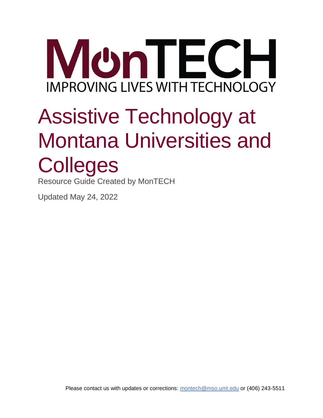

# Assistive Technology at Montana Universities and **Colleges**

Resource Guide Created by MonTECH

Updated May 24, 2022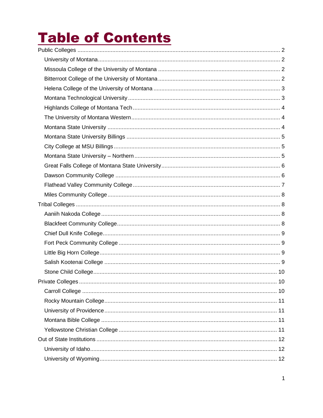## **Table of Contents**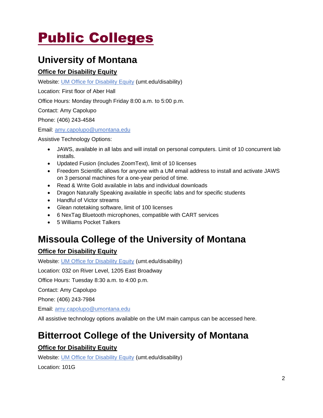## <span id="page-2-0"></span>Public Colleges

## <span id="page-2-1"></span>**University of Montana**

### **Office for Disability Equity**

Website: [UM Office for Disability](https://www.umt.edu/disability/default.php) Equity (umt.edu/disability)

Location: First floor of Aber Hall

Office Hours: Monday through Friday 8:00 a.m. to 5:00 p.m.

Contact: Amy Capolupo

Phone: (406) 243-4584

Email: [amy.capolupo@umontana.edu](mailto:amy.capolupo@umontana.edu)

Assistive Technology Options:

- JAWS, available in all labs and will install on personal computers. Limit of 10 concurrent lab installs.
- Updated Fusion (includes ZoomText), limit of 10 licenses
- Freedom Scientific allows for anyone with a UM email address to install and activate JAWS on 3 personal machines for a one-year period of time.
- Read & Write Gold available in labs and individual downloads
- Dragon Naturally Speaking available in specific labs and for specific students
- Handful of Victor streams
- Glean notetaking software, limit of 100 licenses
- 6 NexTag Bluetooth microphones, compatible with CART services
- 5 Williams Pocket Talkers

## <span id="page-2-2"></span>**Missoula College of the University of Montana**

### **Office for Disability Equity**

Website: [UM Office for Disability Equity](https://www.umt.edu/disability/default.php) (umt.edu/disability)

Location: 032 on River Level, 1205 East Broadway

Office Hours: Tuesday 8:30 a.m. to 4:00 p.m.

Contact: Amy Capolupo

Phone: (406) 243-7984

Email: [amy.capolupo@umontana.edu](mailto:amy.capolupo@umontana.edu)

All assistive technology options available on the UM main campus can be accessed here.

## <span id="page-2-3"></span>**Bitterroot College of the University of Montana**

### **Office for Disability Equity**

Website: [UM Office for Disability Equity](https://www.umt.edu/disability/default.php) (umt.edu/disability)

Location: 101G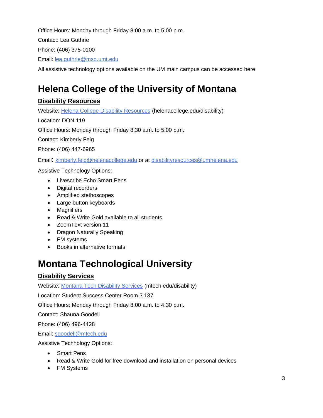Office Hours: Monday through Friday 8:00 a.m. to 5:00 p.m.

Contact: Lea Guthrie

Phone: (406) 375-0100

Email: [lea.guthrie@mso.umt.edu](mailto:lea.guthrie@mso.umt.edu)

All assistive technology options available on the UM main campus can be accessed here.

## <span id="page-3-0"></span>**Helena College of the University of Montana**

### **Disability Resources**

Website: [Helena College Disability Resources](https://www.helenacollege.edu/disability/resources.aspx) (helenacollege.edu/disability)

Location: DON 119

Office Hours: Monday through Friday 8:30 a.m. to 5:00 p.m.

Contact: Kimberly Feig

Phone: (406) 447-6965

Email: [kimberly.feig@helenacollege.edu](mailto:kimberly.feig@helenacollege.edu) or at [disabilityresources@umhelena.edu](mailto:disabilityresources@umhelena.edu)

Assistive Technology Options:

- Livescribe Echo Smart Pens
- Digital recorders
- Amplified stethoscopes
- Large button keyboards
- Magnifiers
- Read & Write Gold available to all students
- ZoomText version 11
- Dragon Naturally Speaking
- FM systems
- Books in alternative formats

## <span id="page-3-1"></span>**Montana Technological University**

### **Disability Services**

Website: [Montana Tech Disability Services](https://www.mtech.edu/disability/index.html) (mtech.edu/disability)

Location: Student Success Center Room 3.137

Office Hours: Monday through Friday 8:00 a.m. to 4:30 p.m.

Contact: Shauna Goodell

Phone: (406) 496-4428

Email: [sgoodell@mtech.edu](mailto:sgoodell@mtech.edu)

- Smart Pens
- Read & Write Gold for free download and installation on personal devices
- FM Systems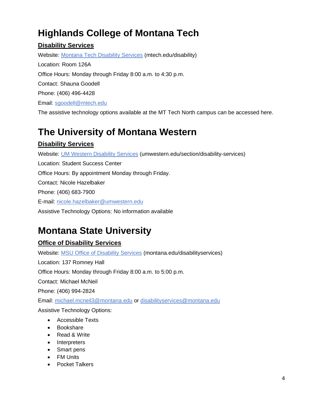## <span id="page-4-0"></span>**Highlands College of Montana Tech**

### **Disability Services**

Website: [Montana Tech Disability Services](https://www.mtech.edu/disability/index.html) (mtech.edu/disability) Location: Room 126A Office Hours: Monday through Friday 8:00 a.m. to 4:30 p.m. Contact: Shauna Goodell Phone: (406) 496-4428 Email: [sgoodell@mtech.edu](mailto:cpietsch@mtech.edu)

### The assistive technology options available at the MT Tech North campus can be accessed here.

## <span id="page-4-1"></span>**The University of Montana Western**

### **Disability Services**

Website: [UM Western Disability Services](https://www.umwestern.edu/section/disability-services/) (umwestern.edu/section/disability-services) Location: Student Success Center Office Hours: By appointment Monday through Friday. Contact: Nicole Hazelbaker Phone: (406) 683-7900 E-mail: [nicole.hazelbaker@umwestern.edu](mailto:nicole.hazelbaker@umwestern.edu) Assistive Technology Options: No information available

## <span id="page-4-2"></span>**Montana State University**

### **Office of Disability Services**

Website: [MSU Office of Disability Services](https://www.montana.edu/disabilityservices/) (montana.edu/disabilityservices) Location: 137 Romney Hall Office Hours: Monday through Friday 8:00 a.m. to 5:00 p.m. Contact: Michael McNeil Phone: (406) 994-2824 Email: [michael.mcneil3@montana.edu](mailto:byork@montana.edu) or [disabilityservices@montana.edu](mailto:disabilityservices@montana.edu) Assistive Technology Options: • Accessible Texts • Bookshare

- Read & Write
- Interpreters
- Smart pens
- FM Units
- Pocket Talkers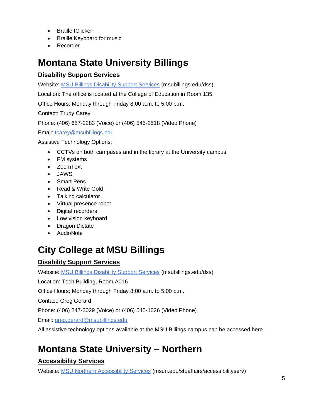- Braille IClicker
- Braille Keyboard for music
- Recorder

## <span id="page-5-0"></span>**Montana State University Billings**

### **Disability Support Services**

Website: [MSU Billings Disability Support Services](https://www.msubillings.edu/dss/) (msubillings.edu/dss)

Location: The office is located at the College of Education in Room 135.

Office Hours: Monday through Friday 8:00 a.m. to 5:00 p.m.

Contact: Trudy Carey

Phone: (406) 657-2283 (Voice) or (406) 545-2518 (Video Phone)

Email: [tcarey@msubillings.edu](mailto:tcarey@msubillings.edu)

Assistive Technology Options:

- CCTVs on both campuses and in the library at the University campus
- FM systems
- ZoomText
- JAWS
- Smart Pens
- Read & Write Gold
- Talking calculator
- Virtual presence robot
- Digital recorders
- Low vision keyboard
- Dragon Dictate
- AudioNote

## <span id="page-5-1"></span>**City College at MSU Billings**

### **Disability Support Services**

Website: [MSU Billings Disability Support Services](https://www.msubillings.edu/dss/) (msubillings.edu/dss)

Location: Tech Building, Room A016

Office Hours: Monday through Friday 8:00 a.m. to 5:00 p.m.

Contact: Greg Gerard

Phone: (406) 247-3029 (Voice) or (406) 545-1026 (Video Phone)

Email: [greg.gerard@msubillings.edu](mailto:tcarey@msubillings.edu)

All assistive technology options available at the MSU Billings campus can be accessed here.

## <span id="page-5-2"></span>**Montana State University – Northern**

### **Accessibility Services**

Website: [MSU Northern Accessibility Services](http://www.msun.edu/stuaffairs/accessibilityserv/) (msun.edu/stuaffairs/accessibilityserv)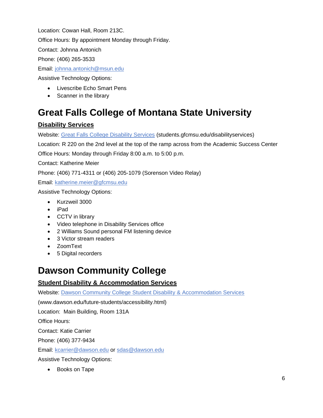Location: Cowan Hall, Room 213C.

Office Hours: By appointment Monday through Friday.

Contact: Johnna Antonich

Phone: (406) 265-3533

Email: [johnna.antonich@msun.edu](mailto:johnna.antonich@msun.edu)

Assistive Technology Options:

- Livescribe Echo Smart Pens
- Scanner in the library

## <span id="page-6-0"></span>**Great Falls College of Montana State University**

### **Disability Services**

Website: [Great Falls College Disability Services](https://students.gfcmsu.edu/disabilityservices/index.html) (students.gfcmsu.edu/disabilityservices)

Location: R 220 on the 2nd level at the top of the ramp across from the Academic Success Center

Office Hours: Monday through Friday 8:00 a.m. to 5:00 p.m.

Contact: Katherine Meier

Phone: (406) 771-4311 or (406) 205-1079 (Sorenson Video Relay)

Email: [katherine.meier@gfcmsu.edu](mailto:katherine.meier@gfcmsu.edu)

Assistive Technology Options:

- Kurzweil 3000
- iPad
- CCTV in library
- Video telephone in Disability Services office
- 2 Williams Sound personal FM listening device
- 3 Victor stream readers
- ZoomText
- 5 Digital recorders

### <span id="page-6-1"></span>**Dawson Community College**

### **Student Disability & Accommodation Services**

Website: [Dawson Community College Student Disability & Accommodation Services](https://www.dawson.edu/future-students/accessibility.html)

(www.dawson.edu/future-students/accessibility.html)

Location: Main Building, Room 131A

Office Hours:

Contact: Katie Carrier

Phone: (406) 377-9434

Email: [kcarrier@dawson.edu](mailto:kcarrier@dawson.edu) or [sdas@dawson.edu](mailto:sdas@dawson.edu)

Assistive Technology Options:

• Books on Tape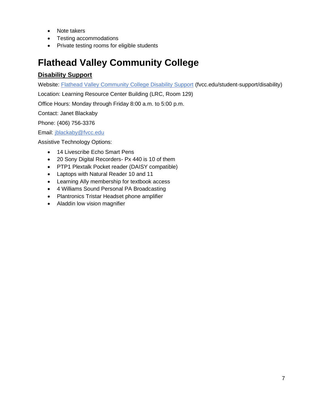- Note takers
- Testing accommodations
- Private testing rooms for eligible students

## <span id="page-7-0"></span>**Flathead Valley Community College**

#### **Disability Support**

Website: [Flathead Valley Community College Disability Support](https://www.fvcc.edu/student-support/disability/) (fvcc.edu/student-support/disability)

Location: Learning Resource Center Building (LRC, Room 129)

Office Hours: Monday through Friday 8:00 a.m. to 5:00 p.m.

Contact: Janet Blackaby

Phone: (406) 756-3376

Email: [jblackaby@fvcc.edu](mailto:jblackaby@fvcc.edu)

- 14 Livescribe Echo Smart Pens
- 20 Sony Digital Recorders- Px 440 is 10 of them
- PTP1 Plextalk Pocket reader (DAISY compatible)
- Laptops with Natural Reader 10 and 11
- Learning Ally membership for textbook access
- 4 Williams Sound Personal PA Broadcasting
- Plantronics Tristar Headset phone amplifier
- Aladdin low vision magnifier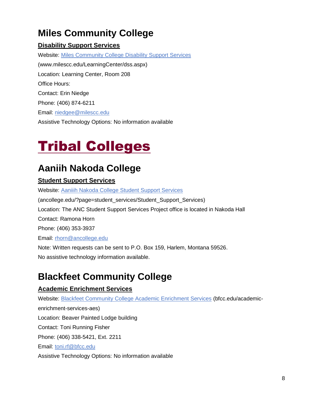## <span id="page-8-0"></span>**Miles Community College**

### **Disability Support Services**

Website: [Miles Community College Disability Support Services](https://www.milescc.edu/LearningCenter/dss.aspx) (www.milescc.edu/LearningCenter/dss.aspx) Location: Learning Center, Room 208 Office Hours: Contact: Erin Niedge Phone: (406) 874-6211 Email: [niedgee@milescc.edu](mailto:niedgee@milescc.edu) Assistive Technology Options: No information available

## <span id="page-8-1"></span>Tribal Colleges

## <span id="page-8-2"></span>**Aaniih Nakoda College**

### **Student Support Services**

Website: [Aaniiih Nakoda College Student Support Services](http://www.ancollege.edu/?page=student_services/Student_Support_Services)  (ancollege.edu/?page=student\_services/Student\_Support\_Services) Location: The ANC Student Support Services Project office is located in Nakoda Hall Contact: Ramona Horn Phone: (406) 353-3937 Email: [rhorn@ancollege.edu](mailto:rhorn@ancollege.edu) Note: Written requests can be sent to P.O. Box 159, Harlem, Montana 59526. No assistive technology information available.

## <span id="page-8-3"></span>**Blackfeet Community College**

### **Academic Enrichment Services**

Website: [Blackfeet Community College Academic Enrichment Services](https://bfcc.edu/academic-enrichment-services-aes/) (bfcc.edu/academicenrichment-services-aes) Location: Beaver Painted Lodge building Contact: Toni Running Fisher Phone: (406) 338-5421, Ext. 2211 Email: [toni.rf@bfcc.edu](mailto:toni.rf@bfcc.edu) Assistive Technology Options: No information available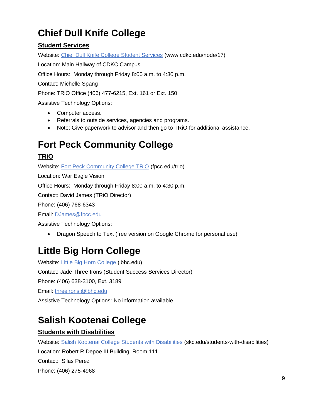## <span id="page-9-0"></span>**Chief Dull Knife College**

### **Student Services**

Website: [Chief Dull Knife College Student Services](http://www.cdkc.edu/node/17) (www.cdkc.edu/node/17)

Location: Main Hallway of CDKC Campus.

Office Hours: Monday through Friday 8:00 a.m. to 4:30 p.m.

Contact: Michelle Spang

Phone: TRiO Office (406) 477-6215, Ext. 161 or Ext. 150

Assistive Technology Options:

- Computer access.
- Referrals to outside services, agencies and programs.
- Note: Give paperwork to advisor and then go to TRiO for additional assistance.

## <span id="page-9-1"></span>**Fort Peck Community College**

### **TRiO**

Website: [Fort Peck Community College TRiO](https://www.fpcc.edu/trio/) (fpcc.edu/trio) Location: War Eagle Vision Office Hours: Monday through Friday 8:00 a.m. to 4:30 p.m. Contact: David James (TRiO Director) Phone: (406) 768-6343 Email: [DJames@fpcc.edu](mailto:DJames@fpcc.edu)

Assistive Technology Options:

• Dragon Speech to Text (free version on Google Chrome for personal use)

## <span id="page-9-2"></span>**Little Big Horn College**

Website: [Little Big Horn College](http://lbhc.edu/) (Ibhc.edu) Contact: Jade Three Irons (Student Success Services Director) Phone: (406) 638-3100, Ext. 3189 Email: [threeironsj@lbhc.edu](mailto:threeironsj@lbhc.edu) Assistive Technology Options: No information available

## <span id="page-9-3"></span>**Salish Kootenai College**

### **Students with Disabilities**

Website: [Salish Kootenai College Students with Disabilities](https://www.skc.edu/students-with-disabilities/) (skc.edu/students-with-disabilities) Location: Robert R Depoe III Building, Room 111. Contact: Silas Perez Phone: (406) 275-4968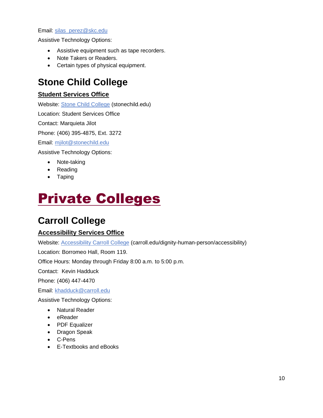#### Email: [silas\\_perez@skc.edu](mailto:silas_perez@skc.edu)

Assistive Technology Options:

- Assistive equipment such as tape recorders.
- Note Takers or Readers.
- Certain types of physical equipment.

### <span id="page-10-0"></span>**Stone Child College**

### **Student Services Office**

Website: [Stone Child College](https://stonechild.edu/) (stonechild.edu)

Location: Student Services Office

Contact: Marquieta Jilot

Phone: (406) 395-4875, Ext. 3272

Email: [mjilot@stonechild.edu](mailto:mjilot@stonechild.edu)

Assistive Technology Options:

- Note-taking
- Reading
- Taping

## <span id="page-10-1"></span>Private Colleges

### <span id="page-10-2"></span>**Carroll College**

### **Accessibility Services Office**

Website: [Accessibility Carroll College](https://www.carroll.edu/dignity-human-person/accessibility) (carroll.edu/dignity-human-person/accessibility)

Location: Borromeo Hall, Room 119.

Office Hours: Monday through Friday 8:00 a.m. to 5:00 p.m.

Contact: Kevin Hadduck

Phone: (406) 447-4470

Email: [khadduck@carroll.edu](mailto:khadduck@carroll.edu)

- Natural Reader
- eReader
- PDF Equalizer
- Dragon Speak
- C-Pens
- E-Textbooks and eBooks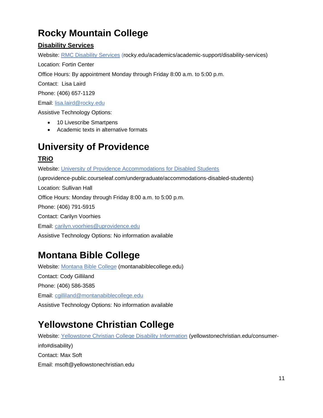## <span id="page-11-0"></span>**Rocky Mountain College**

### **Disability Services**

Website: [RMC Disability Services](https://www.rocky.edu/academics/academic-support/disability-services#:~:text=Rocky%20Mountain%20College%20is%20committed%20to%20providing%20courses%2C,services%20office%20as%20soon%20as%20possible%20after%20enrolling.) (rocky.edu/academics/academic-support/disability-services)

Location: Fortin Center

Office Hours: By appointment Monday through Friday 8:00 a.m. to 5:00 p.m.

Contact: Lisa Laird

Phone: (406) 657-1129

Email: [lisa.laird@rocky.edu](mailto:lisa.laird@rocky.edu)

Assistive Technology Options:

- 10 Livescribe Smartpens
- Academic texts in alternative formats

## <span id="page-11-1"></span>**University of Providence**

### **TRiO**

Website: [University of Providence Accommodations for Disabled Students](https://uprovidence-public.courseleaf.com/undergraduate/accommodations-disabled-students/)

(uprovidence-public.courseleaf.com/undergraduate/accommodations-disabled-students)

Location: Sullivan Hall

Office Hours: Monday through Friday 8:00 a.m. to 5:00 p.m.

Phone: (406) 791-5915

Contact: Carilyn Voorhies

Email: [carilyn.voorhies@uprovidence.edu](mailto:carilyn.voorhies@uprovidence.edu)

Assistive Technology Options: No information available

## <span id="page-11-2"></span>**Montana Bible College**

Website: [Montana Bible College](https://montanabiblecollege.edu/) (montanabiblecollege.edu) Contact: Cody Gilliland Phone: (406) 586-3585 Email: [cgilliland@montanabiblecollege.edu](mailto:cgilliland@montanabiblecollege.edu) Assistive Technology Options: No information available

## <span id="page-11-3"></span>**Yellowstone Christian College**

Website: [Yellowstone Christian College Disability Information](https://www.yellowstonechristian.edu/consumer-info#disability) (yellowstonechristian.edu/consumerinfo#disability) Contact: Max Soft Email: msoft@yellowstonechristian.edu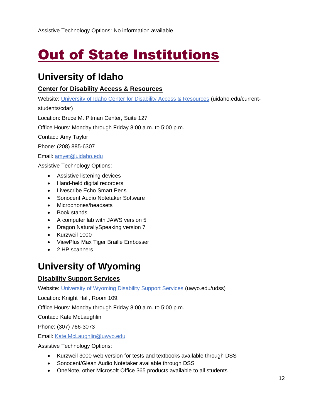## <span id="page-12-0"></span>**Out of State Institutions**

### <span id="page-12-1"></span>**University of Idaho**

### **Center for Disability Access & Resources**

Website: [University of Idaho Center for Disability Access & Resources](https://www.uidaho.edu/current-students/cdar) (uidaho.edu/current-

students/cdar)

Location: Bruce M. Pitman Center, Suite 127

Office Hours: Monday through Friday 8:00 a.m. to 5:00 p.m.

Contact: Amy Taylor

Phone: (208) 885-6307

Email: [amyet@uidaho.edu](mailto:amyet@uidaho.edu)

Assistive Technology Options:

- Assistive listening devices
- Hand-held digital recorders
- Livescribe Echo Smart Pens
- Sonocent Audio Notetaker Software
- Microphones/headsets
- Book stands
- A computer lab with JAWS version 5
- Dragon NaturallySpeaking version 7
- Kurzweil 1000
- ViewPlus Max Tiger Braille Embosser
- 2 HP scanners

### <span id="page-12-2"></span>**University of Wyoming**

### **Disability Support Services**

Website: [University of Wyoming Disability Support Services](https://www.uwyo.edu/udss/) (uwyo.edu/udss)

Location: Knight Hall, Room 109.

Office Hours: Monday through Friday 8:00 a.m. to 5:00 p.m.

Contact: Kate McLaughlin

Phone: (307) 766-3073

Email: [Kate.McLaughlin@uwyo.edu](mailto:Kate.McLaughlin@uwyo.edu)

- Kurzweil 3000 web version for tests and textbooks available through DSS
- Sonocent/Glean Audio Notetaker available through DSS
- OneNote, other Microsoft Office 365 products available to all students